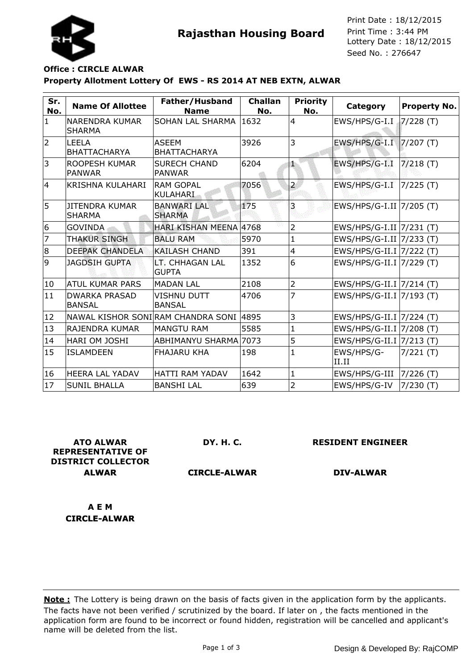



Seed No. : 276647 Print Date : 18/12/2015 Print Time : 3:44 PM

## **Property Allotment Lottery Of EWS - RS 2014 AT NEB EXTN, ALWAR Office : CIRCLE ALWAR**

| Sr.<br>No.     | <b>Name Of Allottee</b>                | Father/Husband<br><b>Name</b>            | <b>Challan</b><br>No. | <b>Priority</b><br>No. | <b>Category</b>          | <b>Property No.</b> |
|----------------|----------------------------------------|------------------------------------------|-----------------------|------------------------|--------------------------|---------------------|
| $\mathbf{1}$   | NARENDRA KUMAR<br><b>SHARMA</b>        | SOHAN LAL SHARMA                         | 1632                  | $\overline{4}$         | EWS/HPS/G-I.I            | 7/228 (T)           |
| $\overline{2}$ | <b>LEELA</b><br><b>BHATTACHARYA</b>    | <b>ASEEM</b><br><b>BHATTACHARYA</b>      | 3926                  | 3                      | EWS/HPS/G-I.I  7/207 (T) |                     |
| 3              | <b>ROOPESH KUMAR</b><br><b>PANWAR</b>  | <b>SURECH CHAND</b><br><b>PANWAR</b>     | 6204                  | 8b                     | EWS/HPS/G-I.I            | $7/218$ (T)         |
| $\overline{4}$ | <b>KRISHNA KULAHARI</b>                | <b>RAM GOPAL</b><br><b>KULAHARI</b>      | 7056                  | $\overline{2}$         | EWS/HPS/G-I.I            | $7/225$ (T)         |
| 5              | <b>JITENDRA KUMAR</b><br><b>SHARMA</b> | BANWARI   AL<br><b>SHARMA</b>            | 175                   | 3                      | EWS/HPS/G-I.II 7/205 (T) |                     |
| 6              | <b>GOVINDA</b>                         | HARI KISHAN MEENA 4768                   |                       | 2                      | EWS/HPS/G-I.II 7/231 (T) |                     |
| $\overline{7}$ | THAKUR SINGH                           | <b>BALU RAM</b>                          | 5970                  | 1                      | EWS/HPS/G-I.II 7/233 (T) |                     |
| 8              | <b>DEEPAK CHANDELA</b>                 | <b>KAILASH CHAND</b>                     | 391                   | $\overline{4}$         | EWS/HPS/G-II.I 7/222 (T) |                     |
| 9              | <b>JAGDSIH GUPTA</b>                   | <b>LT. CHHAGAN LAL</b><br><b>GUPTA</b>   | 1352                  | 6                      | EWS/HPS/G-II.I 7/229 (T) |                     |
| 10             | <b>ATUL KUMAR PARS</b>                 | <b>MADAN LAL</b>                         | 2108                  | $\overline{2}$         | EWS/HPS/G-II.I 7/214 (T) |                     |
| 11             | <b>DWARKA PRASAD</b><br><b>BANSAL</b>  | <b>VISHNU DUTT</b><br><b>BANSAL</b>      | 4706                  | 7                      | EWS/HPS/G-II.I 7/193 (T) |                     |
| 12             |                                        | NAWAL KISHOR SONI RAM CHANDRA SONI  4895 |                       | 3                      | EWS/HPS/G-II.I 7/224 (T) |                     |
| 13             | <b>RAJENDRA KUMAR</b>                  | <b>MANGTU RAM</b>                        | 5585                  | 1                      | EWS/HPS/G-II.I 7/208 (T) |                     |
| 14             | <b>HARI OM JOSHI</b>                   | ABHIMANYU SHARMA 7073                    |                       | 5                      | EWS/HPS/G-II.I 7/213 (T) |                     |
| 15             | <b>ISLAMDEEN</b>                       | <b>FHAJARU KHA</b>                       | 198                   | 1                      | EWS/HPS/G-<br>II.II      | 7/221 (T)           |
| 16             | <b>HEERA LAL YADAV</b>                 | <b>HATTI RAM YADAV</b>                   | 1642                  | 1                      | EWS/HPS/G-III            | 7/226(T)            |
| 17             | <b>SUNIL BHALLA</b>                    | <b>BANSHI LAL</b>                        | 639                   | 2                      | EWS/HPS/G-IV             | 7/230(T)            |

**ATO ALWAR REPRESENTATIVE OF DISTRICT COLLECTOR ALWAR**

**DY. H. C.**

**RESIDENT ENGINEER**

**CIRCLE-ALWAR**

**DIV-ALWAR**

**A E M CIRCLE-ALWAR**

The facts have not been verified / scrutinized by the board. If later on , the facts mentioned in the application form are found to be incorrect or found hidden, registration will be cancelled and applicant's name will be deleted from the list. **Note :** The Lottery is being drawn on the basis of facts given in the application form by the applicants.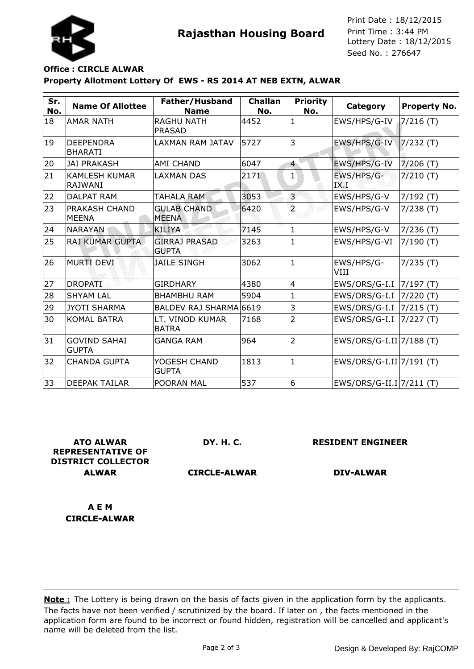



Seed No. : 276647 Print Date : 18/12/2015 Print Time : 3:44 PM

## **Property Allotment Lottery Of EWS - RS 2014 AT NEB EXTN, ALWAR Office : CIRCLE ALWAR**

| Sr.<br>No. | <b>Name Of Allottee</b>                | Father/Husband<br><b>Name</b>        | <b>Challan</b><br>No. | <b>Priority</b><br>No. | Category                 | <b>Property No.</b> |
|------------|----------------------------------------|--------------------------------------|-----------------------|------------------------|--------------------------|---------------------|
| 18         | <b>AMAR NATH</b>                       | <b>RAGHU NATH</b><br><b>PRASAD</b>   | 4452                  | $\mathbf{1}$           | EWS/HPS/G-IV             | $7/216$ (T)         |
| 19         | <b>DEEPENDRA</b><br><b>BHARATI</b>     | LAXMAN RAM JATAV                     | 5727                  | 3                      | EWS/HPS/G-IV             | $7/232$ (T)         |
| 20         | <b>JAI PRAKASH</b>                     | AMI CHAND                            | 6047                  | $\overline{4}$         | EWS/HPS/G-IV             | $7/206$ (T)         |
| 21         | <b>KAMLESH KUMAR</b><br><b>RAJWANI</b> | <b>LAXMAN DAS</b>                    | 2171                  | $\mathbf{1}$           | EWS/HPS/G-<br>IX.I       | $7/210$ (T)         |
| 22         | <b>DALPAT RAM</b>                      | <b>TAHALA RAM</b>                    | 3053                  | ಶ                      | EWS/HPS/G-V              | $7/192$ (T)         |
| 23         | PRAKASH CHAND<br><b>MEENA</b>          | <b>GULAB CHAND</b><br><b>MEENA</b>   | 6420                  | $\overline{a}$         | EWS/HPS/G-V              | 7/238(T)            |
| 24         | <b>NARAYAN</b>                         | <b>KILIYA</b>                        | 7145                  | $\mathbf{1}$           | EWS/HPS/G-V              | $7/236$ (T)         |
| 25         | <b>RAJ KUMAR GUPTA</b>                 | <b>GIRRAJ PRASAD</b><br><b>GUPTA</b> | 3263                  | $\mathbf{1}$           | EWS/HPS/G-VI             | $7/190$ (T)         |
| 26         | MURTI DEVI                             | <b>JAILE SINGH</b>                   | 3062                  | $\mathbf{1}$           | EWS/HPS/G-<br>VIII       | 7/235(T)            |
| 27         | <b>DROPATI</b>                         | <b>GIRDHARY</b>                      | 4380                  | $\overline{4}$         | EWS/ORS/G-I.I            | 7/197(T)            |
| 28         | <b>SHYAM LAL</b>                       | <b>BHAMBHU RAM</b>                   | 5904                  | 1                      | EWS/ORS/G-I.I            | 7/220(T)            |
| 29         | <b>JYOTI SHARMA</b>                    | <b>BALDEV RAJ SHARMA</b>             | 6619                  | 3                      | EWS/ORS/G-I.I            | 7/215(T)            |
| 30         | <b>KOMAL BATRA</b>                     | LT. VINOD KUMAR<br><b>BATRA</b>      | 7168                  | $\overline{2}$         | EWS/ORS/G-I.I            | 7/227(T)            |
| 31         | <b>GOVIND SAHAI</b><br><b>GUPTA</b>    | <b>GANGA RAM</b>                     | 964                   | $\overline{2}$         | EWS/ORS/G-I.II 7/188 (T) |                     |
| 32         | <b>CHANDA GUPTA</b>                    | YOGESH CHAND<br><b>GUPTA</b>         | 1813                  | $\mathbf{1}$           | EWS/ORS/G-I.II 7/191 (T) |                     |
| 33         | <b>DEEPAK TAILAR</b>                   | POORAN MAL                           | 537                   | 6                      | EWS/ORS/G-II.I 7/211 (T) |                     |

**ATO ALWAR REPRESENTATIVE OF DISTRICT COLLECTOR ALWAR**

**DY. H. C.**

**RESIDENT ENGINEER**

**CIRCLE-ALWAR**

**DIV-ALWAR**

**A E M CIRCLE-ALWAR**

The facts have not been verified / scrutinized by the board. If later on , the facts mentioned in the application form are found to be incorrect or found hidden, registration will be cancelled and applicant's name will be deleted from the list. **Note :** The Lottery is being drawn on the basis of facts given in the application form by the applicants.